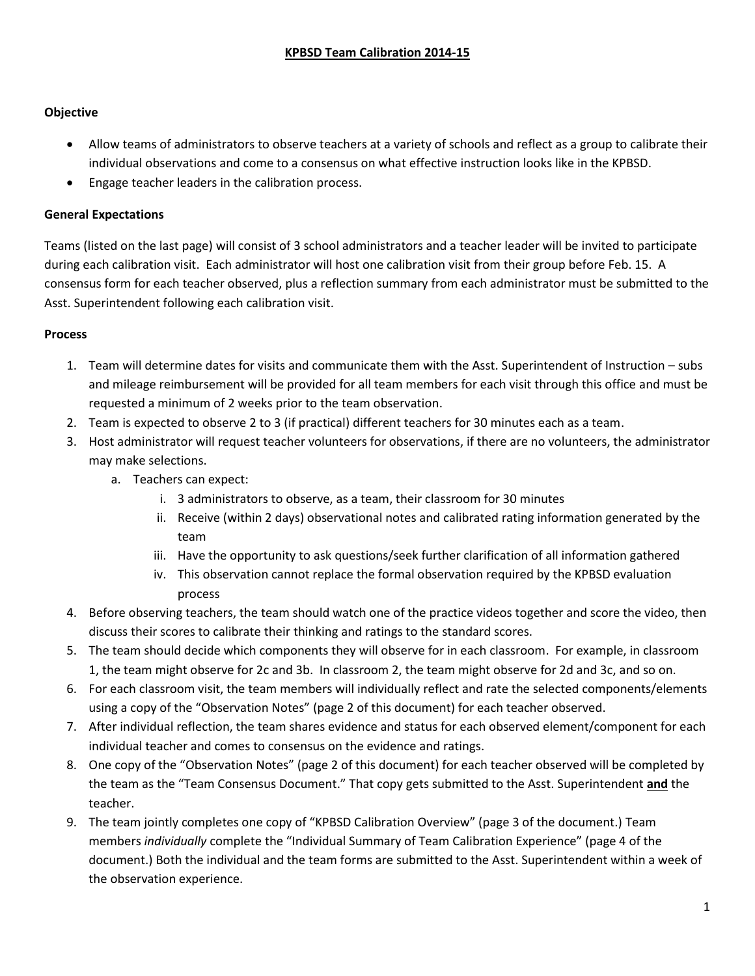## **Objective**

- Allow teams of administrators to observe teachers at a variety of schools and reflect as a group to calibrate their individual observations and come to a consensus on what effective instruction looks like in the KPBSD.
- Engage teacher leaders in the calibration process.

## **General Expectations**

Teams (listed on the last page) will consist of 3 school administrators and a teacher leader will be invited to participate during each calibration visit. Each administrator will host one calibration visit from their group before Feb. 15. A consensus form for each teacher observed, plus a reflection summary from each administrator must be submitted to the Asst. Superintendent following each calibration visit.

## **Process**

- 1. Team will determine dates for visits and communicate them with the Asst. Superintendent of Instruction subs and mileage reimbursement will be provided for all team members for each visit through this office and must be requested a minimum of 2 weeks prior to the team observation.
- 2. Team is expected to observe 2 to 3 (if practical) different teachers for 30 minutes each as a team.
- 3. Host administrator will request teacher volunteers for observations, if there are no volunteers, the administrator may make selections.
	- a. Teachers can expect:
		- i. 3 administrators to observe, as a team, their classroom for 30 minutes
		- ii. Receive (within 2 days) observational notes and calibrated rating information generated by the team
		- iii. Have the opportunity to ask questions/seek further clarification of all information gathered
		- iv. This observation cannot replace the formal observation required by the KPBSD evaluation process
- 4. Before observing teachers, the team should watch one of the practice videos together and score the video, then discuss their scores to calibrate their thinking and ratings to the standard scores.
- 5. The team should decide which components they will observe for in each classroom. For example, in classroom 1, the team might observe for 2c and 3b. In classroom 2, the team might observe for 2d and 3c, and so on.
- 6. For each classroom visit, the team members will individually reflect and rate the selected components/elements using a copy of the "Observation Notes" (page 2 of this document) for each teacher observed.
- 7. After individual reflection, the team shares evidence and status for each observed element/component for each individual teacher and comes to consensus on the evidence and ratings.
- 8. One copy of the "Observation Notes" (page 2 of this document) for each teacher observed will be completed by the team as the "Team Consensus Document." That copy gets submitted to the Asst. Superintendent **and** the teacher.
- 9. The team jointly completes one copy of "KPBSD Calibration Overview" (page 3 of the document.) Team members *individually* complete the "Individual Summary of Team Calibration Experience" (page 4 of the document.) Both the individual and the team forms are submitted to the Asst. Superintendent within a week of the observation experience.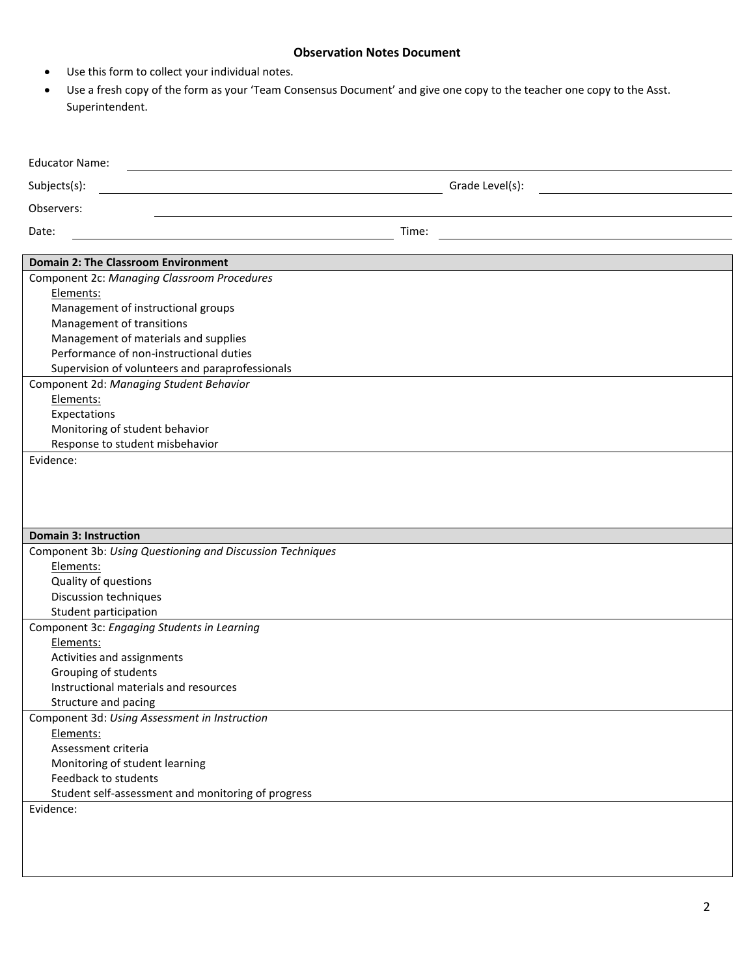## **Observation Notes Document**

- Use this form to collect your individual notes.
- Use a fresh copy of the form as your 'Team Consensus Document' and give one copy to the teacher one copy to the Asst. Superintendent.

| <b>Educator Name:</b>                                     |                 |
|-----------------------------------------------------------|-----------------|
| Subjects(s):                                              | Grade Level(s): |
| Observers:                                                |                 |
| Date:                                                     | Time:           |
| <b>Domain 2: The Classroom Environment</b>                |                 |
| Component 2c: Managing Classroom Procedures               |                 |
| Elements:                                                 |                 |
| Management of instructional groups                        |                 |
| Management of transitions                                 |                 |
| Management of materials and supplies                      |                 |
| Performance of non-instructional duties                   |                 |
| Supervision of volunteers and paraprofessionals           |                 |
| Component 2d: Managing Student Behavior                   |                 |
| Elements:                                                 |                 |
| Expectations                                              |                 |
| Monitoring of student behavior                            |                 |
| Response to student misbehavior                           |                 |
| Evidence:                                                 |                 |
|                                                           |                 |
|                                                           |                 |
|                                                           |                 |
| <b>Domain 3: Instruction</b>                              |                 |
| Component 3b: Using Questioning and Discussion Techniques |                 |
| Elements:                                                 |                 |
| Quality of questions                                      |                 |
| Discussion techniques                                     |                 |
| Student participation                                     |                 |
| Component 3c: Engaging Students in Learning               |                 |
| Elements:                                                 |                 |
| Activities and assignments                                |                 |
| Grouping of students                                      |                 |
| Instructional materials and resources                     |                 |
| Structure and pacing                                      |                 |
| Component 3d: Using Assessment in Instruction             |                 |
| Elements:                                                 |                 |
| Assessment criteria                                       |                 |
| Monitoring of student learning                            |                 |
| Feedback to students                                      |                 |
| Student self-assessment and monitoring of progress        |                 |
| Evidence:                                                 |                 |
|                                                           |                 |
|                                                           |                 |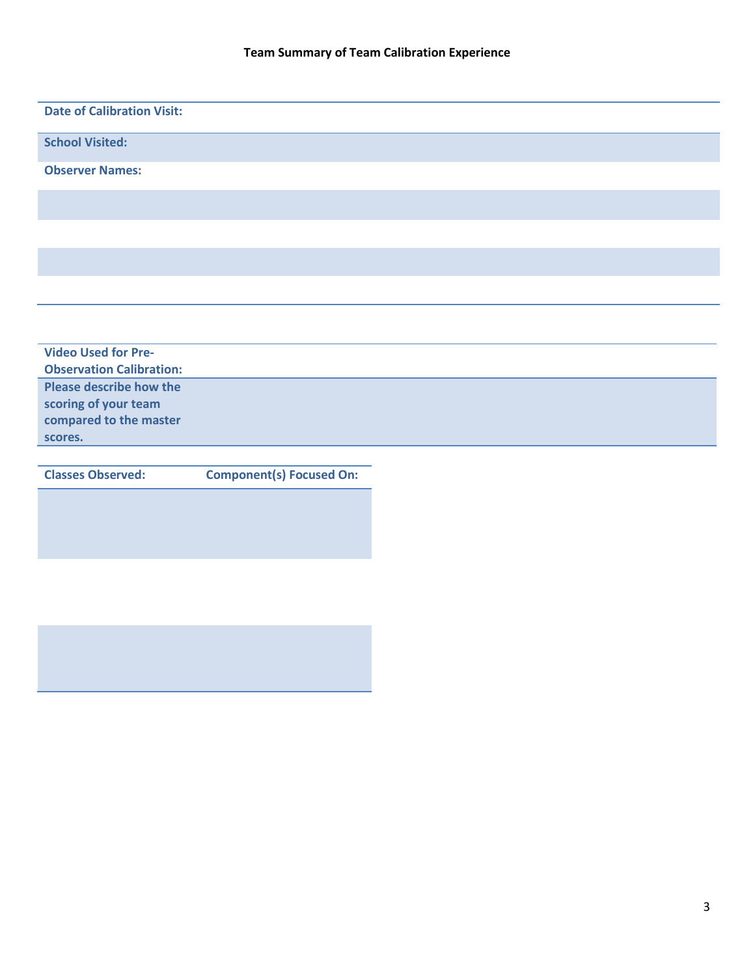| <b>Date of Calibration Visit:</b> |
|-----------------------------------|
|                                   |
| <b>School Visited:</b>            |
|                                   |
| <b>Observer Names:</b>            |
|                                   |
|                                   |
|                                   |
|                                   |
|                                   |
|                                   |
|                                   |
|                                   |
|                                   |
|                                   |
|                                   |
| <b>Video Used for Pre-</b>        |
|                                   |
| <b>Observation Calibration:</b>   |
| <b>Please describe how the</b>    |
| scoring of your team              |
| compared to the master            |
| scores.                           |
|                                   |

**Classes Observed: Component(s) Focused On:**

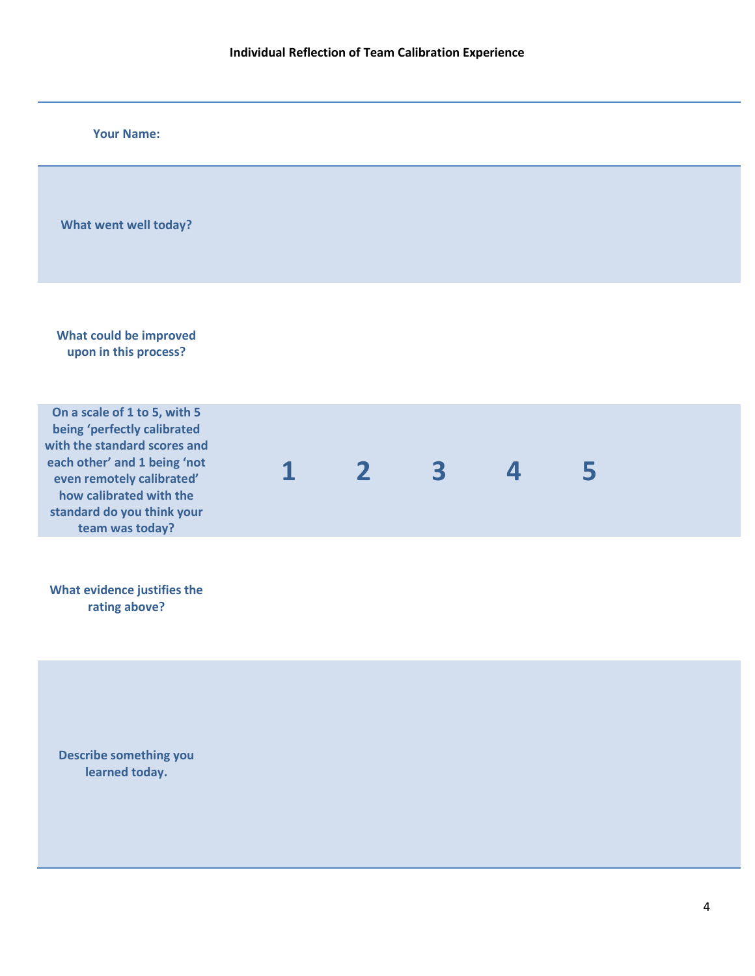| <b>Your Name:</b>                                                                                                                                                                                                                    |  |              |   |   |   |  |
|--------------------------------------------------------------------------------------------------------------------------------------------------------------------------------------------------------------------------------------|--|--------------|---|---|---|--|
| What went well today?                                                                                                                                                                                                                |  |              |   |   |   |  |
| What could be improved<br>upon in this process?                                                                                                                                                                                      |  |              |   |   |   |  |
| On a scale of 1 to 5, with 5<br>being 'perfectly calibrated<br>with the standard scores and<br>each other' and 1 being 'not<br>even remotely calibrated'<br>how calibrated with the<br>standard do you think your<br>team was today? |  | $\mathbf{2}$ | 3 | 4 | 5 |  |
| What evidence justifies the<br>rating above?                                                                                                                                                                                         |  |              |   |   |   |  |
| <b>Describe something you</b><br>learned today.                                                                                                                                                                                      |  |              |   |   |   |  |